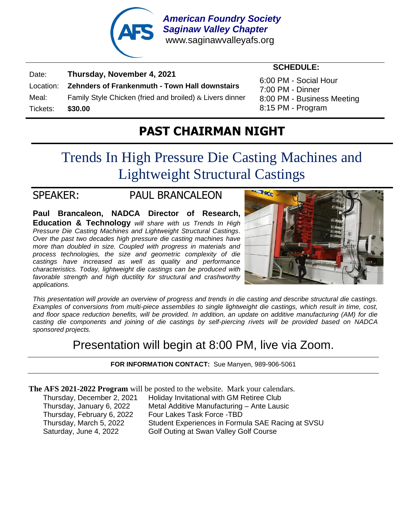

Date: **Thursday, November 4, 2021** Location: **Zehnders of Frankenmuth - Town Hall downstairs** Meal: Family Style Chicken (fried and broiled)  $\&$  Livers dinner Tickets: **\$30.00**

6:00 PM - Social Hour 7:00 PM - Dinner 8:00 PM - Business Meeting 8:15 PM - Program

 **SCHEDULE:**

## **PAST CHAIRMAN NIGHT**

# Trends In High Pressure Die Casting Machines and Lightweight Structural Castings

### SPEAKER: PAUL BRANCALEON

**Paul Brancaleon, NADCA Director of Research, Education & Technology** *will share with us Trends In High Pressure Die Casting Machines and Lightweight Structural Castings. Over the past two decades high pressure die casting machines have more than doubled in size. Coupled with progress in materials and process technologies, the size and geometric complexity of die castings have increased as well as quality and performance characteristics. Today, lightweight die castings can be produced with favorable strength and high ductility for structural and crashworthy applications.*



*This presentation will provide an overview of progress and trends in die casting and describe structural die castings. Examples of conversions from multi-piece assemblies to single lightweight die castings, which result in time, cost, and floor space reduction benefits, will be provided. In addition, an update on additive manufacturing (AM) for die casting die components and joining of die castings by self-piercing rivets will be provided based on NADCA sponsored projects.*

## Presentation will begin at 8:00 PM, live via Zoom.

#### **FOR INFORMATION CONTACT:** Sue Manyen, 989-906-5061

**The AFS 2021-2022 Program** will be posted to the website. Mark your calendars.

Thursday, December 2, 2021 Holiday Invitational with GM Retiree Club Thursday, January 6, 2022 Metal Additive Manufacturing – Ante Lausic Thursday, February 6, 2022 Four Lakes Task Force -TBD Thursday, March 5, 2022 Student Experiences in Formula SAE Racing at SVSU Saturday, June 4, 2022 Golf Outing at Swan Valley Golf Course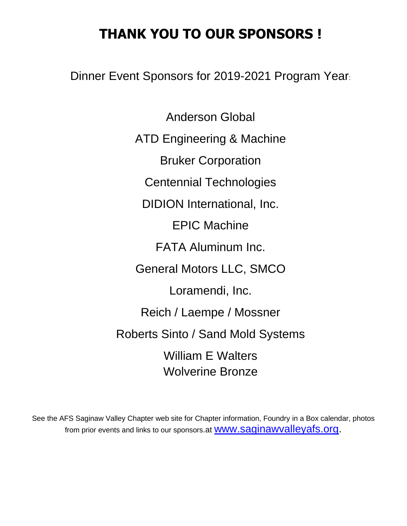## **THANK YOU TO OUR SPONSORS !**

Dinner Event Sponsors for 2019-2021 Program Year:

Anderson Global ATD Engineering & Machine [Bruker Corporation](https://www.bruker.com/products/surface-and-dimensional-analysis/3d-optical-microscopes.html) Centennial Technologies DIDION International, Inc. EPIC Machine FATA Aluminum Inc. General Motors LLC, SMCO Loramendi, Inc. Reich / Laempe / Mossner Roberts Sinto / Sand Mold Systems William E Walters Wolverine Bronze

See the AFS Saginaw Valley Chapter web site for Chapter information, Foundry in a Box calendar, photos from prior events and links to our sponsors at **WWW.Saginawvalleyafs.org**.